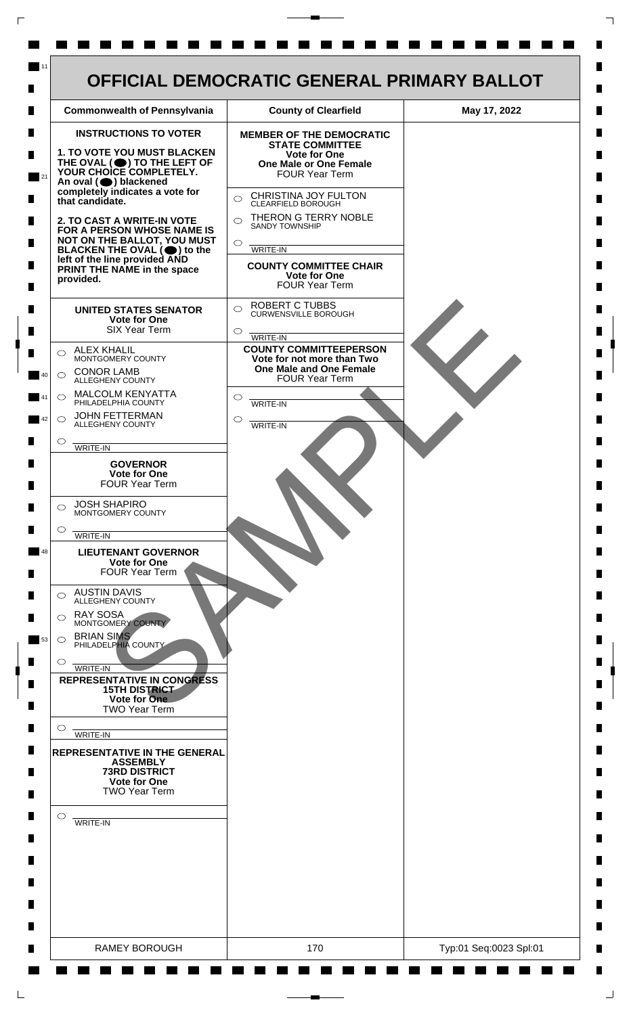

 $\mathsf{L}$ 

 $\Box$